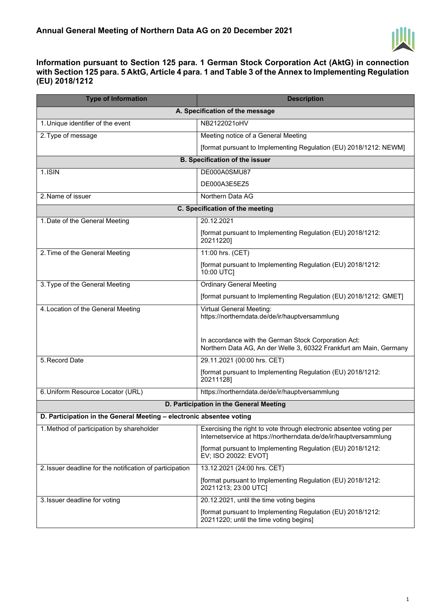

**Information pursuant to Section 125 para. 1 German Stock Corporation Act (AktG) in connection with Section 125 para. 5 AktG, Article 4 para. 1 and Table 3 of the Annex to Implementing Regulation (EU) 2018/1212** 

| <b>Type of Information</b>                                           | <b>Description</b>                                                                                                                       |  |
|----------------------------------------------------------------------|------------------------------------------------------------------------------------------------------------------------------------------|--|
| A. Specification of the message                                      |                                                                                                                                          |  |
| 1. Unique identifier of the event                                    | NB2122021oHV                                                                                                                             |  |
| 2. Type of message                                                   | Meeting notice of a General Meeting                                                                                                      |  |
|                                                                      | [format pursuant to Implementing Regulation (EU) 2018/1212: NEWM]                                                                        |  |
|                                                                      | <b>B. Specification of the issuer</b>                                                                                                    |  |
| $1.1$ SIN                                                            | DE000A0SMU87                                                                                                                             |  |
|                                                                      | DE000A3E5EZ5                                                                                                                             |  |
| 2. Name of issuer                                                    | Northern Data AG                                                                                                                         |  |
| C. Specification of the meeting                                      |                                                                                                                                          |  |
| 1. Date of the General Meeting                                       | 20.12.2021                                                                                                                               |  |
|                                                                      | [format pursuant to Implementing Regulation (EU) 2018/1212:<br>20211220]                                                                 |  |
| 2. Time of the General Meeting                                       | 11:00 hrs. (CET)                                                                                                                         |  |
|                                                                      | [format pursuant to Implementing Regulation (EU) 2018/1212:<br>10:00 UTC]                                                                |  |
| 3. Type of the General Meeting                                       | <b>Ordinary General Meeting</b>                                                                                                          |  |
|                                                                      | [format pursuant to Implementing Regulation (EU) 2018/1212: GMET]                                                                        |  |
| 4. Location of the General Meeting                                   | Virtual General Meeting:<br>https://northerndata.de/de/ir/hauptversammlung                                                               |  |
|                                                                      | In accordance with the German Stock Corporation Act:<br>Northern Data AG, An der Welle 3, 60322 Frankfurt am Main, Germany               |  |
| 5. Record Date                                                       | 29.11.2021 (00:00 hrs. CET)                                                                                                              |  |
|                                                                      | [format pursuant to Implementing Regulation (EU) 2018/1212:<br>20211128]                                                                 |  |
| 6. Uniform Resource Locator (URL)                                    | https://northerndata.de/de/ir/hauptversammlung                                                                                           |  |
| D. Participation in the General Meeting                              |                                                                                                                                          |  |
| D. Participation in the General Meeting - electronic absentee voting |                                                                                                                                          |  |
| 1. Method of participation by shareholder                            | Exercising the right to vote through electronic absentee voting per<br>Internetservice at https://northerndata.de/de/ir/hauptversammlung |  |
|                                                                      | [format pursuant to Implementing Regulation (EU) 2018/1212:<br>EV; ISO 20022: EVOT]                                                      |  |
| 2. Issuer deadline for the notification of participation             | 13.12.2021 (24:00 hrs. CET)                                                                                                              |  |
|                                                                      | [format pursuant to Implementing Regulation (EU) 2018/1212:<br>20211213; 23:00 UTC]                                                      |  |
| 3. Issuer deadline for voting                                        | 20.12.2021, until the time voting begins                                                                                                 |  |
|                                                                      | [format pursuant to Implementing Regulation (EU) 2018/1212:<br>20211220; until the time voting begins]                                   |  |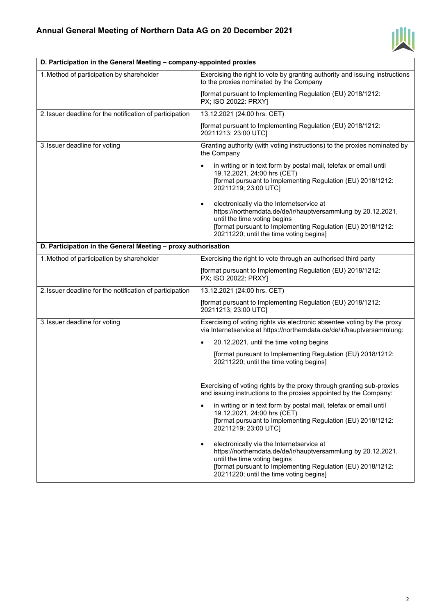

| D. Participation in the General Meeting – company-appointed proxies |                                                                                                                                                                                                                                                                   |
|---------------------------------------------------------------------|-------------------------------------------------------------------------------------------------------------------------------------------------------------------------------------------------------------------------------------------------------------------|
| 1. Method of participation by shareholder                           | Exercising the right to vote by granting authority and issuing instructions<br>to the proxies nominated by the Company                                                                                                                                            |
|                                                                     | [format pursuant to Implementing Regulation (EU) 2018/1212:<br>PX; ISO 20022: PRXY]                                                                                                                                                                               |
| 2. Issuer deadline for the notification of participation            | 13.12.2021 (24:00 hrs. CET)                                                                                                                                                                                                                                       |
|                                                                     | [format pursuant to Implementing Regulation (EU) 2018/1212:<br>20211213; 23:00 UTC]                                                                                                                                                                               |
| 3. Issuer deadline for voting                                       | Granting authority (with voting instructions) to the proxies nominated by<br>the Company                                                                                                                                                                          |
|                                                                     | in writing or in text form by postal mail, telefax or email until<br>$\bullet$<br>19.12.2021, 24:00 hrs (CET)<br>[format pursuant to Implementing Regulation (EU) 2018/1212:<br>20211219; 23:00 UTC]                                                              |
|                                                                     | electronically via the Internetservice at<br>$\bullet$<br>https://northerndata.de/de/ir/hauptversammlung by 20.12.2021,<br>until the time voting begins<br>[format pursuant to Implementing Regulation (EU) 2018/1212:<br>20211220; until the time voting begins] |
| D. Participation in the General Meeting - proxy authorisation       |                                                                                                                                                                                                                                                                   |
| 1. Method of participation by shareholder                           | Exercising the right to vote through an authorised third party                                                                                                                                                                                                    |
|                                                                     | [format pursuant to Implementing Regulation (EU) 2018/1212:<br>PX; ISO 20022: PRXY]                                                                                                                                                                               |
| 2. Issuer deadline for the notification of participation            | 13.12.2021 (24:00 hrs. CET)                                                                                                                                                                                                                                       |
|                                                                     | [format pursuant to Implementing Regulation (EU) 2018/1212:<br>20211213; 23:00 UTC]                                                                                                                                                                               |
| 3. Issuer deadline for voting                                       | Exercising of voting rights via electronic absentee voting by the proxy<br>via Internetservice at https://northerndata.de/de/ir/hauptversammlung:                                                                                                                 |
|                                                                     | 20.12.2021, until the time voting begins<br>$\bullet$                                                                                                                                                                                                             |
|                                                                     | [format pursuant to Implementing Regulation (EU) 2018/1212:<br>20211220; until the time voting begins]                                                                                                                                                            |
|                                                                     | Exercising of voting rights by the proxy through granting sub-proxies<br>and issuing instructions to the proxies appointed by the Company:                                                                                                                        |
|                                                                     | in writing or in text form by postal mail, telefax or email until<br>$\bullet$<br>19.12.2021, 24:00 hrs (CET)<br>[format pursuant to Implementing Regulation (EU) 2018/1212:<br>20211219; 23:00 UTC]                                                              |
|                                                                     | electronically via the Internetservice at<br>$\bullet$<br>https://northerndata.de/de/ir/hauptversammlung by 20.12.2021,<br>until the time voting begins<br>[format pursuant to Implementing Regulation (EU) 2018/1212:<br>20211220; until the time voting begins] |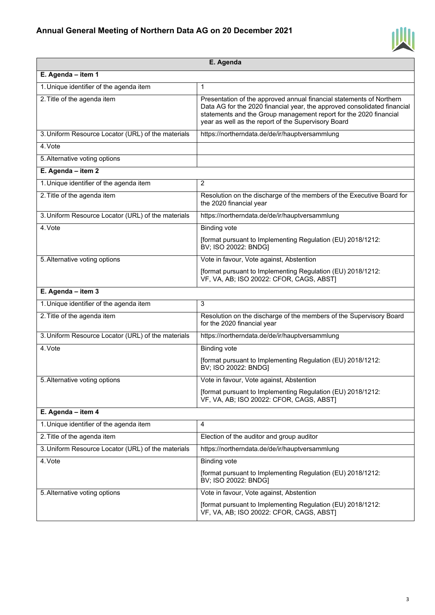

|                                                    | E. Agenda                                                                                                                                                                                                                                                                    |
|----------------------------------------------------|------------------------------------------------------------------------------------------------------------------------------------------------------------------------------------------------------------------------------------------------------------------------------|
| E. Agenda - item 1                                 |                                                                                                                                                                                                                                                                              |
| 1. Unique identifier of the agenda item            | 1                                                                                                                                                                                                                                                                            |
| 2. Title of the agenda item                        | Presentation of the approved annual financial statements of Northern<br>Data AG for the 2020 financial year, the approved consolidated financial<br>statements and the Group management report for the 2020 financial<br>year as well as the report of the Supervisory Board |
| 3. Uniform Resource Locator (URL) of the materials | https://northerndata.de/de/ir/hauptversammlung                                                                                                                                                                                                                               |
| 4. Vote                                            |                                                                                                                                                                                                                                                                              |
| 5. Alternative voting options                      |                                                                                                                                                                                                                                                                              |
| E. Agenda - item 2                                 |                                                                                                                                                                                                                                                                              |
| 1. Unique identifier of the agenda item            | $\overline{2}$                                                                                                                                                                                                                                                               |
| 2. Title of the agenda item                        | Resolution on the discharge of the members of the Executive Board for<br>the 2020 financial year                                                                                                                                                                             |
| 3. Uniform Resource Locator (URL) of the materials | https://northerndata.de/de/ir/hauptversammlung                                                                                                                                                                                                                               |
| 4. Vote                                            | <b>Binding vote</b>                                                                                                                                                                                                                                                          |
|                                                    | [format pursuant to Implementing Regulation (EU) 2018/1212:<br>BV; ISO 20022: BNDG]                                                                                                                                                                                          |
| 5. Alternative voting options                      | Vote in favour, Vote against, Abstention                                                                                                                                                                                                                                     |
|                                                    | [format pursuant to Implementing Regulation (EU) 2018/1212:<br>VF, VA, AB; ISO 20022: CFOR, CAGS, ABST]                                                                                                                                                                      |
| E. Agenda - item 3                                 |                                                                                                                                                                                                                                                                              |
| 1. Unique identifier of the agenda item            | 3                                                                                                                                                                                                                                                                            |
| 2. Title of the agenda item                        | Resolution on the discharge of the members of the Supervisory Board<br>for the 2020 financial year                                                                                                                                                                           |
| 3. Uniform Resource Locator (URL) of the materials | https://northerndata.de/de/ir/hauptversammlung                                                                                                                                                                                                                               |
| 4. Vote                                            | <b>Binding vote</b>                                                                                                                                                                                                                                                          |
|                                                    | [format pursuant to Implementing Regulation (EU) 2018/1212:<br>BV; ISO 20022: BNDG]                                                                                                                                                                                          |
| 5. Alternative voting options                      | Vote in favour, Vote against, Abstention                                                                                                                                                                                                                                     |
|                                                    | [format pursuant to Implementing Regulation (EU) 2018/1212:<br>VF, VA, AB; ISO 20022: CFOR, CAGS, ABST]                                                                                                                                                                      |
| E. Agenda - item 4                                 |                                                                                                                                                                                                                                                                              |
| 1. Unique identifier of the agenda item            | 4                                                                                                                                                                                                                                                                            |
| 2. Title of the agenda item                        | Election of the auditor and group auditor                                                                                                                                                                                                                                    |
| 3. Uniform Resource Locator (URL) of the materials | https://northerndata.de/de/ir/hauptversammlung                                                                                                                                                                                                                               |
| 4. Vote                                            | <b>Binding vote</b>                                                                                                                                                                                                                                                          |
|                                                    | [format pursuant to Implementing Regulation (EU) 2018/1212:<br>BV; ISO 20022: BNDG]                                                                                                                                                                                          |
| 5. Alternative voting options                      | Vote in favour, Vote against, Abstention                                                                                                                                                                                                                                     |
|                                                    | [format pursuant to Implementing Regulation (EU) 2018/1212:<br>VF, VA, AB; ISO 20022: CFOR, CAGS, ABST]                                                                                                                                                                      |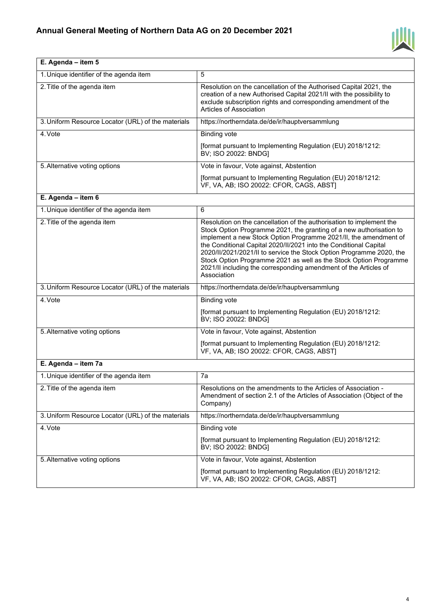

| E. Agenda - item 5                                 |                                                                                                                                                                                                                                                                                                                                                                                                                                                                                                                      |
|----------------------------------------------------|----------------------------------------------------------------------------------------------------------------------------------------------------------------------------------------------------------------------------------------------------------------------------------------------------------------------------------------------------------------------------------------------------------------------------------------------------------------------------------------------------------------------|
| 1. Unique identifier of the agenda item            | 5                                                                                                                                                                                                                                                                                                                                                                                                                                                                                                                    |
| 2. Title of the agenda item                        | Resolution on the cancellation of the Authorised Capital 2021, the<br>creation of a new Authorised Capital 2021/II with the possibility to<br>exclude subscription rights and corresponding amendment of the<br>Articles of Association                                                                                                                                                                                                                                                                              |
| 3. Uniform Resource Locator (URL) of the materials | https://northerndata.de/de/ir/hauptversammlung                                                                                                                                                                                                                                                                                                                                                                                                                                                                       |
| 4. Vote                                            | <b>Binding vote</b>                                                                                                                                                                                                                                                                                                                                                                                                                                                                                                  |
|                                                    | [format pursuant to Implementing Regulation (EU) 2018/1212:<br>BV; ISO 20022: BNDG]                                                                                                                                                                                                                                                                                                                                                                                                                                  |
| 5. Alternative voting options                      | Vote in favour, Vote against, Abstention                                                                                                                                                                                                                                                                                                                                                                                                                                                                             |
|                                                    | [format pursuant to Implementing Regulation (EU) 2018/1212:<br>VF, VA, AB; ISO 20022: CFOR, CAGS, ABST]                                                                                                                                                                                                                                                                                                                                                                                                              |
| E. Agenda - item 6                                 |                                                                                                                                                                                                                                                                                                                                                                                                                                                                                                                      |
| 1. Unique identifier of the agenda item            | 6                                                                                                                                                                                                                                                                                                                                                                                                                                                                                                                    |
| 2. Title of the agenda item                        | Resolution on the cancellation of the authorisation to implement the<br>Stock Option Programme 2021, the granting of a new authorisation to<br>implement a new Stock Option Programme 2021/II, the amendment of<br>the Conditional Capital 2020/II/2021 into the Conditional Capital<br>2020/II/2021/2021/II to service the Stock Option Programme 2020, the<br>Stock Option Programme 2021 as well as the Stock Option Programme<br>2021/II including the corresponding amendment of the Articles of<br>Association |
| 3. Uniform Resource Locator (URL) of the materials | https://northerndata.de/de/ir/hauptversammlung                                                                                                                                                                                                                                                                                                                                                                                                                                                                       |
| 4. Vote                                            | <b>Binding vote</b>                                                                                                                                                                                                                                                                                                                                                                                                                                                                                                  |
|                                                    | [format pursuant to Implementing Regulation (EU) 2018/1212:<br>BV; ISO 20022: BNDG]                                                                                                                                                                                                                                                                                                                                                                                                                                  |
| 5. Alternative voting options                      | Vote in favour, Vote against, Abstention                                                                                                                                                                                                                                                                                                                                                                                                                                                                             |
|                                                    | [format pursuant to Implementing Regulation (EU) 2018/1212:<br>VF, VA, AB; ISO 20022: CFOR, CAGS, ABST)                                                                                                                                                                                                                                                                                                                                                                                                              |
| E. Agenda - item 7a                                |                                                                                                                                                                                                                                                                                                                                                                                                                                                                                                                      |
| 1. Unique identifier of the agenda item            | 7a                                                                                                                                                                                                                                                                                                                                                                                                                                                                                                                   |
| 2. Title of the agenda item                        | Resolutions on the amendments to the Articles of Association -<br>Amendment of section 2.1 of the Articles of Association (Object of the<br>Company)                                                                                                                                                                                                                                                                                                                                                                 |
| 3. Uniform Resource Locator (URL) of the materials | https://northerndata.de/de/ir/hauptversammlung                                                                                                                                                                                                                                                                                                                                                                                                                                                                       |
| 4. Vote                                            | <b>Binding vote</b>                                                                                                                                                                                                                                                                                                                                                                                                                                                                                                  |
|                                                    | [format pursuant to Implementing Regulation (EU) 2018/1212:<br>BV; ISO 20022: BNDG]                                                                                                                                                                                                                                                                                                                                                                                                                                  |
| 5. Alternative voting options                      | Vote in favour, Vote against, Abstention                                                                                                                                                                                                                                                                                                                                                                                                                                                                             |
|                                                    | [format pursuant to Implementing Regulation (EU) 2018/1212:<br>VF, VA, AB; ISO 20022: CFOR, CAGS, ABST]                                                                                                                                                                                                                                                                                                                                                                                                              |